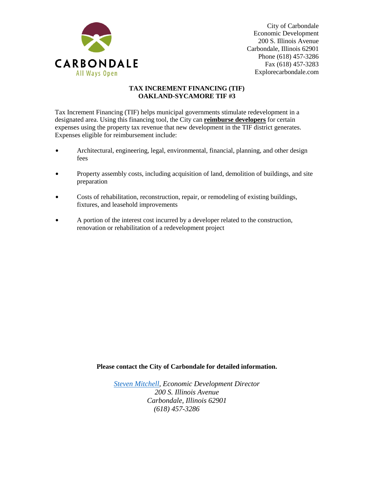

City of Carbondale Economic Development 200 S. Illinois Avenue Carbondale, Illinois 62901 Phone (618) 457-3286 Fax (618) 457-3283 Explorecarbondale.com

## **TAX INCREMENT FINANCING (TIF) OAKLAND-SYCAMORE TIF #3**

Tax Increment Financing (TIF) helps municipal governments stimulate redevelopment in a designated area. Using this financing tool, the City can **reimburse developers** for certain expenses using the property tax revenue that new development in the TIF district generates. Expenses eligible for reimbursement include:

- Architectural, engineering, legal, environmental, financial, planning, and other design fees
- Property assembly costs, including acquisition of land, demolition of buildings, and site preparation
- Costs of rehabilitation, reconstruction, repair, or remodeling of existing buildings, fixtures, and leasehold improvements
- $\bullet$  A portion of the interest cost incurred by a developer related to the construction, renovation or rehabilitation of a redevelopment project

**Please contact the City of Carbondale for detailed information.**

*[Steven Mitchell,](mailto:steven.mitchell@explorecarbondale.com) Economic Development Director 200 S. Illinois Avenue Carbondale, Illinois 62901 (618) 457-3286*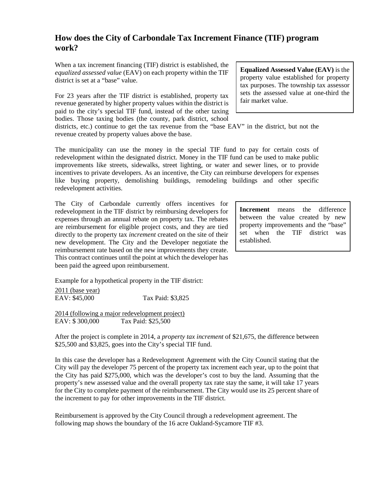## **How does the City of Carbondale Tax Increment Finance (TIF) program work?**

When a tax increment financing (TIF) district is established, the *equalized assessed value* (EAV) on each property within the TIF district is set at a "base" value.

For 23 years after the TIF district is established, property tax revenue generated by higher property values within the district is paid to the city's special TIF fund, instead of the other taxing bodies. Those taxing bodies (the county, park district, school

districts, etc.) continue to get the tax revenue from the "base EAV" in the district, but not the revenue created by property values above the base.

The municipality can use the money in the special TIF fund to pay for certain costs of redevelopment within the designated district. Money in the TIF fund can be used to make public improvements like streets, sidewalks, street lighting, or water and sewer lines, or to provide incentives to private developers. As an incentive, the City can reimburse developers for expenses like buying property, demolishing buildings, remodeling buildings and other specific redevelopment activities.

The City of Carbondale currently offers incentives for redevelopment in the TIF district by reimbursing developers for expenses through an annual rebate on property tax. The rebates are reimbursement for eligible project costs, and they are tied directly to the property tax *increment* created on the site of their new development. The City and the Developer negotiate the reimbursement rate based on the new improvements they create. This contract continues until the point at which the developer has been paid the agreed upon reimbursement.

Example for a hypothetical property in the TIF district:

2011 (base year) EAV: \$45,000 Tax Paid: \$3,825

2014 (following a major redevelopment project) EAV: \$ 300,000 Tax Paid: \$25,500

After the project is complete in 2014, a *property tax increment* of \$21,675, the difference between \$25,500 and \$3,825, goes into the City's special TIF fund.

In this case the developer has a Redevelopment Agreement with the City Council stating that the City will pay the developer 75 percent of the property tax increment each year, up to the point that the City has paid \$275,000, which was the developer's cost to buy the land. Assuming that the property's new assessed value and the overall property tax rate stay the same, it will take 17 years for the City to complete payment of the reimbursement. The City would use its 25 percent share of the increment to pay for other improvements in the TIF district.

Reimbursement is approved by the City Council through a redevelopment agreement. The following map shows the boundary of the 16 acre Oakland-Sycamore TIF #3.

**Equalized Assessed Value (EAV)** is the property value established for property tax purposes. The township tax assessor sets the assessed value at one-third the fair market value.

**Increment** means the difference between the value created by new property improvements and the "base" set when the TIF district was established.